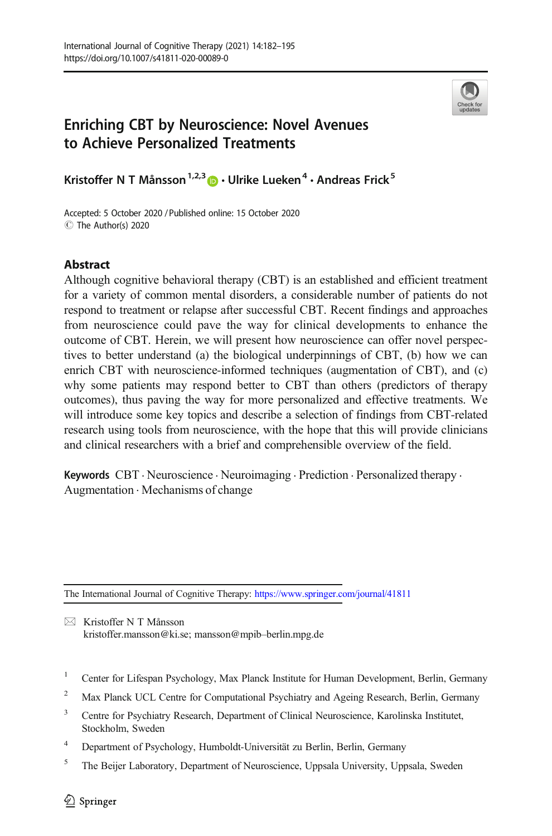

# Enriching CBT by Neuroscience: Novel Avenues to Achieve Personalized Treatments

Kristoffer N T Månsson<sup>1,2,3</sup>  $\bullet$  · Ulrike Lueken<sup>4</sup> · Andreas Frick<sup>5</sup>

Accepted: 5 October 2020 /Published online: 15 October 2020 C The Author(s) 2020

## Abstract

Although cognitive behavioral therapy (CBT) is an established and efficient treatment for a variety of common mental disorders, a considerable number of patients do not respond to treatment or relapse after successful CBT. Recent findings and approaches from neuroscience could pave the way for clinical developments to enhance the outcome of CBT. Herein, we will present how neuroscience can offer novel perspectives to better understand (a) the biological underpinnings of CBT, (b) how we can enrich CBT with neuroscience-informed techniques (augmentation of CBT), and (c) why some patients may respond better to CBT than others (predictors of therapy outcomes), thus paving the way for more personalized and effective treatments. We will introduce some key topics and describe a selection of findings from CBT-related research using tools from neuroscience, with the hope that this will provide clinicians and clinical researchers with a brief and comprehensible overview of the field.

Keywords CBT . Neuroscience . Neuroimaging . Prediction . Personalized therapy . Augmentation . Mechanisms of change

The International Journal of Cognitive Therapy: [https://www.springer.com/journal/41811](https://doi.org/)

 $\boxtimes$  Kristoffer N T Månsson [kristoffer.mansson@ki.se](mailto:kristoffer.mansson@ki.se); [mansson@mpib](mailto:mansson@mpib-berlin.mpg.de)–berlin.mpg.de

- <sup>1</sup> Center for Lifespan Psychology, Max Planck Institute for Human Development, Berlin, Germany
- <sup>2</sup> Max Planck UCL Centre for Computational Psychiatry and Ageing Research, Berlin, Germany
- <sup>3</sup> Centre for Psychiatry Research, Department of Clinical Neuroscience, Karolinska Institutet, Stockholm, Sweden
- <sup>4</sup> Department of Psychology, Humboldt-Universität zu Berlin, Berlin, Germany
- <sup>5</sup> The Beijer Laboratory, Department of Neuroscience, Uppsala University, Uppsala, Sweden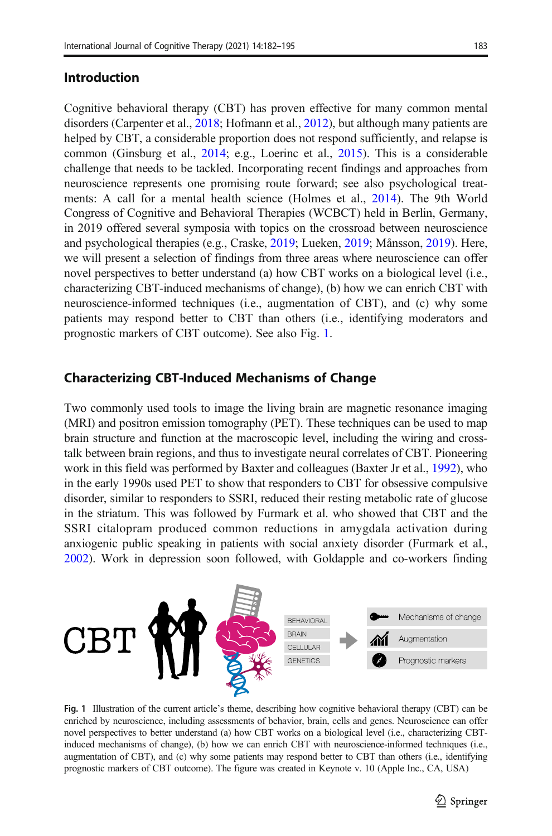#### Introduction

Cognitive behavioral therapy (CBT) has proven effective for many common mental disorders (Carpenter et al., [2018;](#page-10-0) Hofmann et al., [2012\)](#page-11-0), but although many patients are helped by CBT, a considerable proportion does not respond sufficiently, and relapse is common (Ginsburg et al., [2014;](#page-11-0) e.g., Loerinc et al., [2015\)](#page-11-0). This is a considerable challenge that needs to be tackled. Incorporating recent findings and approaches from neuroscience represents one promising route forward; see also psychological treatments: A call for a mental health science (Holmes et al., [2014](#page-11-0)). The 9th World Congress of Cognitive and Behavioral Therapies (WCBCT) held in Berlin, Germany, in 2019 offered several symposia with topics on the crossroad between neuroscience and psychological therapies (e.g., Craske, [2019;](#page-10-0) Lueken, [2019;](#page-11-0) Månsson, [2019\)](#page-11-0). Here, we will present a selection of findings from three areas where neuroscience can offer novel perspectives to better understand (a) how CBT works on a biological level (i.e., characterizing CBT-induced mechanisms of change), (b) how we can enrich CBT with neuroscience-informed techniques (i.e., augmentation of CBT), and (c) why some patients may respond better to CBT than others (i.e., identifying moderators and prognostic markers of CBT outcome). See also Fig. 1.

### Characterizing CBT-Induced Mechanisms of Change

Two commonly used tools to image the living brain are magnetic resonance imaging (MRI) and positron emission tomography (PET). These techniques can be used to map brain structure and function at the macroscopic level, including the wiring and crosstalk between brain regions, and thus to investigate neural correlates of CBT. Pioneering work in this field was performed by Baxter and colleagues (Baxter Jr et al., [1992](#page-10-0)), who in the early 1990s used PET to show that responders to CBT for obsessive compulsive disorder, similar to responders to SSRI, reduced their resting metabolic rate of glucose in the striatum. This was followed by Furmark et al. who showed that CBT and the SSRI citalopram produced common reductions in amygdala activation during anxiogenic public speaking in patients with social anxiety disorder (Furmark et al., [2002\)](#page-10-0). Work in depression soon followed, with Goldapple and co-workers finding



Fig. 1 Illustration of the current article's theme, describing how cognitive behavioral therapy (CBT) can be enriched by neuroscience, including assessments of behavior, brain, cells and genes. Neuroscience can offer novel perspectives to better understand (a) how CBT works on a biological level (i.e., characterizing CBTinduced mechanisms of change), (b) how we can enrich CBT with neuroscience-informed techniques (i.e., augmentation of CBT), and (c) why some patients may respond better to CBT than others (i.e., identifying prognostic markers of CBT outcome). The figure was created in Keynote v. 10 (Apple Inc., CA, USA)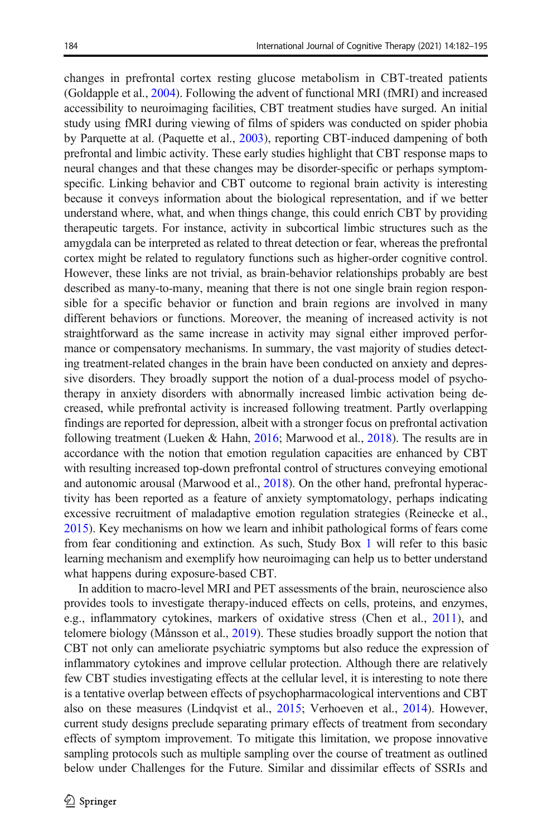changes in prefrontal cortex resting glucose metabolism in CBT-treated patients (Goldapple et al., [2004\)](#page-11-0). Following the advent of functional MRI (fMRI) and increased accessibility to neuroimaging facilities, CBT treatment studies have surged. An initial study using fMRI during viewing of films of spiders was conducted on spider phobia by Parquette at al. (Paquette et al., [2003](#page-12-0)), reporting CBT-induced dampening of both prefrontal and limbic activity. These early studies highlight that CBT response maps to neural changes and that these changes may be disorder-specific or perhaps symptomspecific. Linking behavior and CBT outcome to regional brain activity is interesting because it conveys information about the biological representation, and if we better understand where, what, and when things change, this could enrich CBT by providing therapeutic targets. For instance, activity in subcortical limbic structures such as the amygdala can be interpreted as related to threat detection or fear, whereas the prefrontal cortex might be related to regulatory functions such as higher-order cognitive control. However, these links are not trivial, as brain-behavior relationships probably are best described as many-to-many, meaning that there is not one single brain region responsible for a specific behavior or function and brain regions are involved in many different behaviors or functions. Moreover, the meaning of increased activity is not straightforward as the same increase in activity may signal either improved performance or compensatory mechanisms. In summary, the vast majority of studies detecting treatment-related changes in the brain have been conducted on anxiety and depressive disorders. They broadly support the notion of a dual-process model of psychotherapy in anxiety disorders with abnormally increased limbic activation being decreased, while prefrontal activity is increased following treatment. Partly overlapping findings are reported for depression, albeit with a stronger focus on prefrontal activation following treatment (Lueken & Hahn, [2016](#page-11-0); Marwood et al., [2018](#page-12-0)). The results are in accordance with the notion that emotion regulation capacities are enhanced by CBT with resulting increased top-down prefrontal control of structures conveying emotional and autonomic arousal (Marwood et al., [2018\)](#page-12-0). On the other hand, prefrontal hyperactivity has been reported as a feature of anxiety symptomatology, perhaps indicating excessive recruitment of maladaptive emotion regulation strategies (Reinecke et al., [2015\)](#page-12-0). Key mechanisms on how we learn and inhibit pathological forms of fears come from fear conditioning and extinction. As such, Study Box [1](#page-3-0) will refer to this basic learning mechanism and exemplify how neuroimaging can help us to better understand what happens during exposure-based CBT.

In addition to macro-level MRI and PET assessments of the brain, neuroscience also provides tools to investigate therapy-induced effects on cells, proteins, and enzymes, e.g., inflammatory cytokines, markers of oxidative stress (Chen et al., [2011](#page-10-0)), and telomere biology (Månsson et al., [2019](#page-12-0)). These studies broadly support the notion that CBT not only can ameliorate psychiatric symptoms but also reduce the expression of inflammatory cytokines and improve cellular protection. Although there are relatively few CBT studies investigating effects at the cellular level, it is interesting to note there is a tentative overlap between effects of psychopharmacological interventions and CBT also on these measures (Lindqvist et al., [2015](#page-11-0); Verhoeven et al., [2014](#page-13-0)). However, current study designs preclude separating primary effects of treatment from secondary effects of symptom improvement. To mitigate this limitation, we propose innovative sampling protocols such as multiple sampling over the course of treatment as outlined below under Challenges for the Future. Similar and dissimilar effects of SSRIs and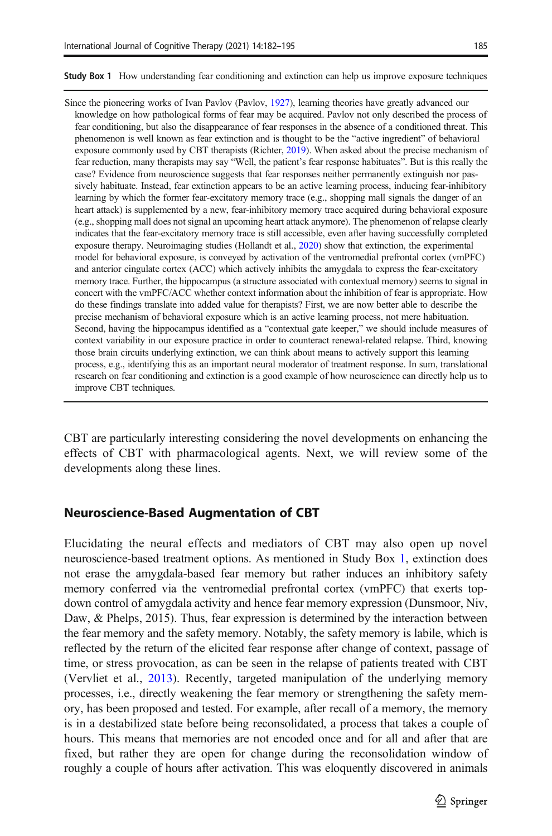<span id="page-3-0"></span>Study Box 1 How understanding fear conditioning and extinction can help us improve exposure techniques

Since the pioneering works of Ivan Pavlov (Pavlov, [1927\)](#page-12-0), learning theories have greatly advanced our knowledge on how pathological forms of fear may be acquired. Pavlov not only described the process of fear conditioning, but also the disappearance of fear responses in the absence of a conditioned threat. This phenomenon is well known as fear extinction and is thought to be the "active ingredient" of behavioral exposure commonly used by CBT therapists (Richter, [2019\)](#page-12-0). When asked about the precise mechanism of fear reduction, many therapists may say "Well, the patient's fear response habituates". But is this really the case? Evidence from neuroscience suggests that fear responses neither permanently extinguish nor passively habituate. Instead, fear extinction appears to be an active learning process, inducing fear-inhibitory learning by which the former fear-excitatory memory trace (e.g., shopping mall signals the danger of an heart attack) is supplemented by a new, fear-inhibitory memory trace acquired during behavioral exposure (e.g., shopping mall does not signal an upcoming heart attack anymore). The phenomenon of relapse clearly indicates that the fear-excitatory memory trace is still accessible, even after having successfully completed exposure therapy. Neuroimaging studies (Hollandt et al., [2020](#page-11-0)) show that extinction, the experimental model for behavioral exposure, is conveyed by activation of the ventromedial prefrontal cortex (vmPFC) and anterior cingulate cortex (ACC) which actively inhibits the amygdala to express the fear-excitatory memory trace. Further, the hippocampus (a structure associated with contextual memory) seems to signal in concert with the vmPFC/ACC whether context information about the inhibition of fear is appropriate. How do these findings translate into added value for therapists? First, we are now better able to describe the precise mechanism of behavioral exposure which is an active learning process, not mere habituation. Second, having the hippocampus identified as a "contextual gate keeper," we should include measures of context variability in our exposure practice in order to counteract renewal-related relapse. Third, knowing those brain circuits underlying extinction, we can think about means to actively support this learning process, e.g., identifying this as an important neural moderator of treatment response. In sum, translational research on fear conditioning and extinction is a good example of how neuroscience can directly help us to improve CBT techniques.

CBT are particularly interesting considering the novel developments on enhancing the effects of CBT with pharmacological agents. Next, we will review some of the developments along these lines.

#### Neuroscience-Based Augmentation of CBT

Elucidating the neural effects and mediators of CBT may also open up novel neuroscience-based treatment options. As mentioned in Study Box 1, extinction does not erase the amygdala-based fear memory but rather induces an inhibitory safety memory conferred via the ventromedial prefrontal cortex (vmPFC) that exerts topdown control of amygdala activity and hence fear memory expression (Dunsmoor, Niv, Daw, & Phelps, 2015). Thus, fear expression is determined by the interaction between the fear memory and the safety memory. Notably, the safety memory is labile, which is reflected by the return of the elicited fear response after change of context, passage of time, or stress provocation, as can be seen in the relapse of patients treated with CBT (Vervliet et al., [2013\)](#page-13-0). Recently, targeted manipulation of the underlying memory processes, i.e., directly weakening the fear memory or strengthening the safety memory, has been proposed and tested. For example, after recall of a memory, the memory is in a destabilized state before being reconsolidated, a process that takes a couple of hours. This means that memories are not encoded once and for all and after that are fixed, but rather they are open for change during the reconsolidation window of roughly a couple of hours after activation. This was eloquently discovered in animals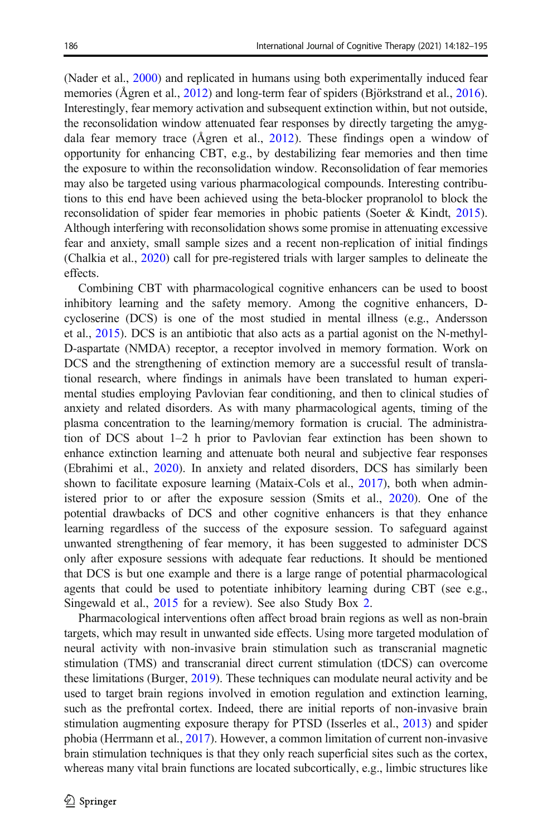(Nader et al., [2000](#page-12-0)) and replicated in humans using both experimentally induced fear memories (Ågren et al., [2012\)](#page-9-0) and long-term fear of spiders (Björkstrand et al., [2016\)](#page-10-0). Interestingly, fear memory activation and subsequent extinction within, but not outside, the reconsolidation window attenuated fear responses by directly targeting the amygdala fear memory trace (Ågren et al., [2012\)](#page-9-0). These findings open a window of opportunity for enhancing CBT, e.g., by destabilizing fear memories and then time the exposure to within the reconsolidation window. Reconsolidation of fear memories may also be targeted using various pharmacological compounds. Interesting contributions to this end have been achieved using the beta-blocker propranolol to block the reconsolidation of spider fear memories in phobic patients (Soeter & Kindt, [2015\)](#page-13-0). Although interfering with reconsolidation shows some promise in attenuating excessive fear and anxiety, small sample sizes and a recent non-replication of initial findings (Chalkia et al., [2020\)](#page-10-0) call for pre-registered trials with larger samples to delineate the effects.

Combining CBT with pharmacological cognitive enhancers can be used to boost inhibitory learning and the safety memory. Among the cognitive enhancers, Dcycloserine (DCS) is one of the most studied in mental illness (e.g., Andersson et al., [2015\)](#page-10-0). DCS is an antibiotic that also acts as a partial agonist on the N-methyl-D-aspartate (NMDA) receptor, a receptor involved in memory formation. Work on DCS and the strengthening of extinction memory are a successful result of translational research, where findings in animals have been translated to human experimental studies employing Pavlovian fear conditioning, and then to clinical studies of anxiety and related disorders. As with many pharmacological agents, timing of the plasma concentration to the learning/memory formation is crucial. The administration of DCS about 1–2 h prior to Pavlovian fear extinction has been shown to enhance extinction learning and attenuate both neural and subjective fear responses (Ebrahimi et al., [2020](#page-10-0)). In anxiety and related disorders, DCS has similarly been shown to facilitate exposure learning (Mataix-Cols et al., [2017](#page-12-0)), both when administered prior to or after the exposure session (Smits et al., [2020\)](#page-12-0). One of the potential drawbacks of DCS and other cognitive enhancers is that they enhance learning regardless of the success of the exposure session. To safeguard against unwanted strengthening of fear memory, it has been suggested to administer DCS only after exposure sessions with adequate fear reductions. It should be mentioned that DCS is but one example and there is a large range of potential pharmacological agents that could be used to potentiate inhibitory learning during CBT (see e.g., Singewald et al., [2015](#page-12-0) for a review). See also Study Box [2](#page-5-0).

Pharmacological interventions often affect broad brain regions as well as non-brain targets, which may result in unwanted side effects. Using more targeted modulation of neural activity with non-invasive brain stimulation such as transcranial magnetic stimulation (TMS) and transcranial direct current stimulation (tDCS) can overcome these limitations (Burger, [2019\)](#page-10-0). These techniques can modulate neural activity and be used to target brain regions involved in emotion regulation and extinction learning, such as the prefrontal cortex. Indeed, there are initial reports of non-invasive brain stimulation augmenting exposure therapy for PTSD (Isserles et al., [2013](#page-11-0)) and spider phobia (Herrmann et al., [2017](#page-11-0)). However, a common limitation of current non-invasive brain stimulation techniques is that they only reach superficial sites such as the cortex, whereas many vital brain functions are located subcortically, e.g., limbic structures like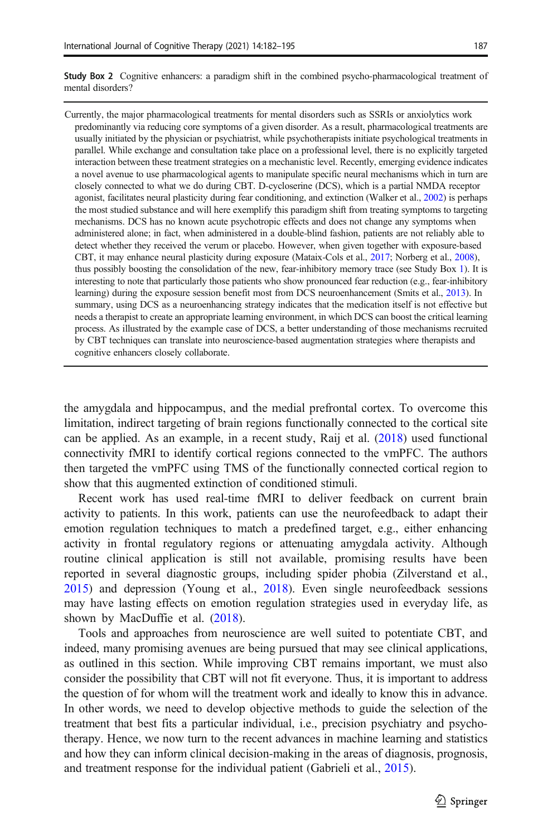<span id="page-5-0"></span>Study Box 2 Cognitive enhancers: a paradigm shift in the combined psycho-pharmacological treatment of mental disorders?

Currently, the major pharmacological treatments for mental disorders such as SSRIs or anxiolytics work predominantly via reducing core symptoms of a given disorder. As a result, pharmacological treatments are usually initiated by the physician or psychiatrist, while psychotherapists initiate psychological treatments in parallel. While exchange and consultation take place on a professional level, there is no explicitly targeted interaction between these treatment strategies on a mechanistic level. Recently, emerging evidence indicates a novel avenue to use pharmacological agents to manipulate specific neural mechanisms which in turn are closely connected to what we do during CBT. D-cycloserine (DCS), which is a partial NMDA receptor agonist, facilitates neural plasticity during fear conditioning, and extinction (Walker et al., [2002\)](#page-13-0) is perhaps the most studied substance and will here exemplify this paradigm shift from treating symptoms to targeting mechanisms. DCS has no known acute psychotropic effects and does not change any symptoms when administered alone; in fact, when administered in a double-blind fashion, patients are not reliably able to detect whether they received the verum or placebo. However, when given together with exposure-based CBT, it may enhance neural plasticity during exposure (Mataix-Cols et al., [2017;](#page-12-0) Norberg et al., [2008\)](#page-12-0), thus possibly boosting the consolidation of the new, fear-inhibitory memory trace (see Study Box [1\)](#page-3-0). It is interesting to note that particularly those patients who show pronounced fear reduction (e.g., fear-inhibitory learning) during the exposure session benefit most from DCS neuroenhancement (Smits et al., [2013\)](#page-13-0). In summary, using DCS as a neuroenhancing strategy indicates that the medication itself is not effective but needs a therapist to create an appropriate learning environment, in which DCS can boost the critical learning process. As illustrated by the example case of DCS, a better understanding of those mechanisms recruited by CBT techniques can translate into neuroscience-based augmentation strategies where therapists and cognitive enhancers closely collaborate.

the amygdala and hippocampus, and the medial prefrontal cortex. To overcome this limitation, indirect targeting of brain regions functionally connected to the cortical site can be applied. As an example, in a recent study, Raij et al. [\(2018\)](#page-12-0) used functional connectivity fMRI to identify cortical regions connected to the vmPFC. The authors then targeted the vmPFC using TMS of the functionally connected cortical region to show that this augmented extinction of conditioned stimuli.

Recent work has used real-time fMRI to deliver feedback on current brain activity to patients. In this work, patients can use the neurofeedback to adapt their emotion regulation techniques to match a predefined target, e.g., either enhancing activity in frontal regulatory regions or attenuating amygdala activity. Although routine clinical application is still not available, promising results have been reported in several diagnostic groups, including spider phobia (Zilverstand et al., [2015\)](#page-13-0) and depression (Young et al., [2018](#page-13-0)). Even single neurofeedback sessions may have lasting effects on emotion regulation strategies used in everyday life, as shown by MacDuffie et al. [\(2018\)](#page-11-0).

Tools and approaches from neuroscience are well suited to potentiate CBT, and indeed, many promising avenues are being pursued that may see clinical applications, as outlined in this section. While improving CBT remains important, we must also consider the possibility that CBT will not fit everyone. Thus, it is important to address the question of for whom will the treatment work and ideally to know this in advance. In other words, we need to develop objective methods to guide the selection of the treatment that best fits a particular individual, i.e., precision psychiatry and psychotherapy. Hence, we now turn to the recent advances in machine learning and statistics and how they can inform clinical decision-making in the areas of diagnosis, prognosis, and treatment response for the individual patient (Gabrieli et al., [2015\)](#page-10-0).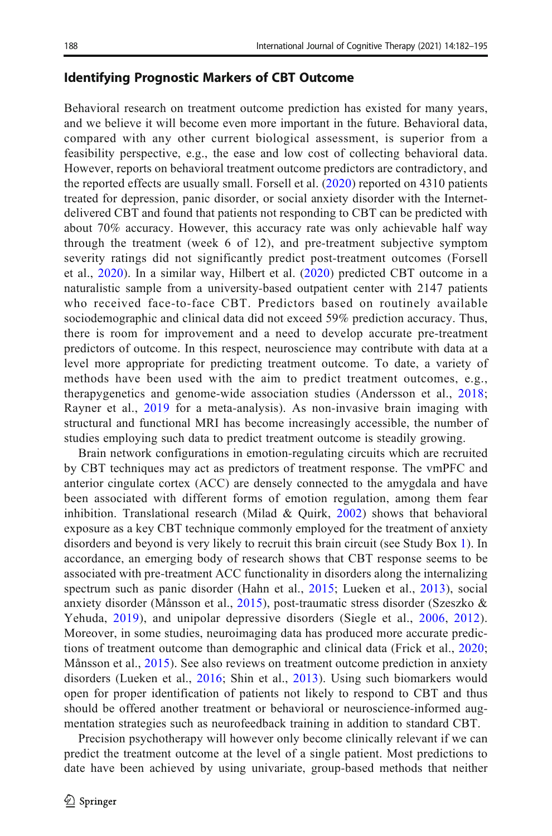#### Identifying Prognostic Markers of CBT Outcome

Behavioral research on treatment outcome prediction has existed for many years, and we believe it will become even more important in the future. Behavioral data, compared with any other current biological assessment, is superior from a feasibility perspective, e.g., the ease and low cost of collecting behavioral data. However, reports on behavioral treatment outcome predictors are contradictory, and the reported effects are usually small. Forsell et al.  $(2020)$  $(2020)$  $(2020)$  reported on 4310 patients treated for depression, panic disorder, or social anxiety disorder with the Internetdelivered CBT and found that patients not responding to CBT can be predicted with about 70% accuracy. However, this accuracy rate was only achievable half way through the treatment (week 6 of 12), and pre-treatment subjective symptom severity ratings did not significantly predict post-treatment outcomes (Forsell et al., [2020](#page-10-0)). In a similar way, Hilbert et al. [\(2020\)](#page-11-0) predicted CBT outcome in a naturalistic sample from a university-based outpatient center with 2147 patients who received face-to-face CBT. Predictors based on routinely available sociodemographic and clinical data did not exceed 59% prediction accuracy. Thus, there is room for improvement and a need to develop accurate pre-treatment predictors of outcome. In this respect, neuroscience may contribute with data at a level more appropriate for predicting treatment outcome. To date, a variety of methods have been used with the aim to predict treatment outcomes, e.g., therapygenetics and genome-wide association studies (Andersson et al., [2018;](#page-10-0) Rayner et al., [2019](#page-12-0) for a meta-analysis). As non-invasive brain imaging with structural and functional MRI has become increasingly accessible, the number of studies employing such data to predict treatment outcome is steadily growing.

Brain network configurations in emotion-regulating circuits which are recruited by CBT techniques may act as predictors of treatment response. The vmPFC and anterior cingulate cortex (ACC) are densely connected to the amygdala and have been associated with different forms of emotion regulation, among them fear inhibition. Translational research (Milad  $&$  Quirk, [2002\)](#page-12-0) shows that behavioral exposure as a key CBT technique commonly employed for the treatment of anxiety disorders and beyond is very likely to recruit this brain circuit (see Study Box [1\)](#page-3-0). In accordance, an emerging body of research shows that CBT response seems to be associated with pre-treatment ACC functionality in disorders along the internalizing spectrum such as panic disorder (Hahn et al., [2015](#page-11-0); Lueken et al., [2013](#page-11-0)), social anxiety disorder (Månsson et al., [2015](#page-11-0)), post-traumatic stress disorder (Szeszko & Yehuda, [2019\)](#page-13-0), and unipolar depressive disorders (Siegle et al., [2006,](#page-12-0) [2012](#page-12-0)). Moreover, in some studies, neuroimaging data has produced more accurate predictions of treatment outcome than demographic and clinical data (Frick et al., [2020;](#page-10-0) Månsson et al., [2015](#page-11-0)). See also reviews on treatment outcome prediction in anxiety disorders (Lueken et al., [2016](#page-11-0); Shin et al., [2013\)](#page-12-0). Using such biomarkers would open for proper identification of patients not likely to respond to CBT and thus should be offered another treatment or behavioral or neuroscience-informed augmentation strategies such as neurofeedback training in addition to standard CBT.

Precision psychotherapy will however only become clinically relevant if we can predict the treatment outcome at the level of a single patient. Most predictions to date have been achieved by using univariate, group-based methods that neither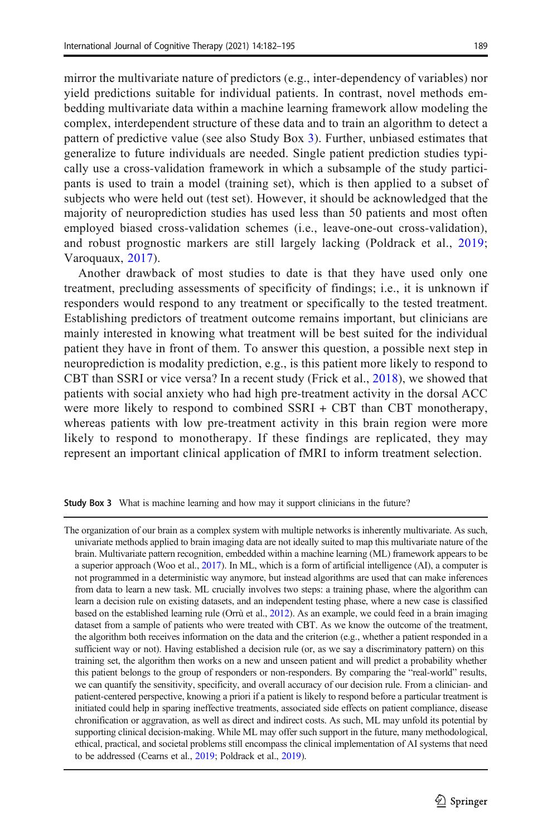mirror the multivariate nature of predictors (e.g., inter-dependency of variables) nor yield predictions suitable for individual patients. In contrast, novel methods embedding multivariate data within a machine learning framework allow modeling the complex, interdependent structure of these data and to train an algorithm to detect a pattern of predictive value (see also Study Box 3). Further, unbiased estimates that generalize to future individuals are needed. Single patient prediction studies typically use a cross-validation framework in which a subsample of the study participants is used to train a model (training set), which is then applied to a subset of subjects who were held out (test set). However, it should be acknowledged that the majority of neuroprediction studies has used less than 50 patients and most often employed biased cross-validation schemes (i.e., leave-one-out cross-validation), and robust prognostic markers are still largely lacking (Poldrack et al., [2019;](#page-12-0) Varoquaux, [2017\)](#page-13-0).

Another drawback of most studies to date is that they have used only one treatment, precluding assessments of specificity of findings; i.e., it is unknown if responders would respond to any treatment or specifically to the tested treatment. Establishing predictors of treatment outcome remains important, but clinicians are mainly interested in knowing what treatment will be best suited for the individual patient they have in front of them. To answer this question, a possible next step in neuroprediction is modality prediction, e.g., is this patient more likely to respond to CBT than SSRI or vice versa? In a recent study (Frick et al., [2018](#page-10-0)), we showed that patients with social anxiety who had high pre-treatment activity in the dorsal ACC were more likely to respond to combined SSRI + CBT than CBT monotherapy, whereas patients with low pre-treatment activity in this brain region were more likely to respond to monotherapy. If these findings are replicated, they may represent an important clinical application of fMRI to inform treatment selection.

|  |  |  |  |  |  |  |  |  | <b>Study Box 3</b> What is machine learning and how may it support clinicians in the future? |  |  |  |
|--|--|--|--|--|--|--|--|--|----------------------------------------------------------------------------------------------|--|--|--|
|--|--|--|--|--|--|--|--|--|----------------------------------------------------------------------------------------------|--|--|--|

The organization of our brain as a complex system with multiple networks is inherently multivariate. As such, univariate methods applied to brain imaging data are not ideally suited to map this multivariate nature of the brain. Multivariate pattern recognition, embedded within a machine learning (ML) framework appears to be a superior approach (Woo et al., [2017](#page-13-0)). In ML, which is a form of artificial intelligence (AI), a computer is not programmed in a deterministic way anymore, but instead algorithms are used that can make inferences from data to learn a new task. ML crucially involves two steps: a training phase, where the algorithm can learn a decision rule on existing datasets, and an independent testing phase, where a new case is classified based on the established learning rule (Orrù et al., [2012](#page-12-0)). As an example, we could feed in a brain imaging dataset from a sample of patients who were treated with CBT. As we know the outcome of the treatment, the algorithm both receives information on the data and the criterion (e.g., whether a patient responded in a sufficient way or not). Having established a decision rule (or, as we say a discriminatory pattern) on this training set, the algorithm then works on a new and unseen patient and will predict a probability whether this patient belongs to the group of responders or non-responders. By comparing the "real-world" results, we can quantify the sensitivity, specificity, and overall accuracy of our decision rule. From a clinician- and patient-centered perspective, knowing a priori if a patient is likely to respond before a particular treatment is initiated could help in sparing ineffective treatments, associated side effects on patient compliance, disease chronification or aggravation, as well as direct and indirect costs. As such, ML may unfold its potential by supporting clinical decision-making. While ML may offer such support in the future, many methodological, ethical, practical, and societal problems still encompass the clinical implementation of AI systems that need to be addressed (Cearns et al., [2019;](#page-10-0) Poldrack et al., [2019\)](#page-12-0).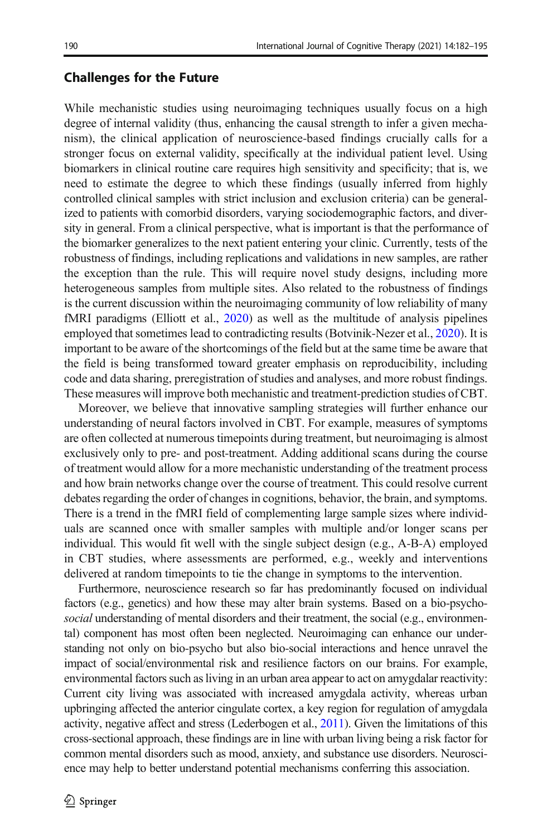### Challenges for the Future

While mechanistic studies using neuroimaging techniques usually focus on a high degree of internal validity (thus, enhancing the causal strength to infer a given mechanism), the clinical application of neuroscience-based findings crucially calls for a stronger focus on external validity, specifically at the individual patient level. Using biomarkers in clinical routine care requires high sensitivity and specificity; that is, we need to estimate the degree to which these findings (usually inferred from highly controlled clinical samples with strict inclusion and exclusion criteria) can be generalized to patients with comorbid disorders, varying sociodemographic factors, and diversity in general. From a clinical perspective, what is important is that the performance of the biomarker generalizes to the next patient entering your clinic. Currently, tests of the robustness of findings, including replications and validations in new samples, are rather the exception than the rule. This will require novel study designs, including more heterogeneous samples from multiple sites. Also related to the robustness of findings is the current discussion within the neuroimaging community of low reliability of many fMRI paradigms (Elliott et al., [2020\)](#page-10-0) as well as the multitude of analysis pipelines employed that sometimes lead to contradicting results (Botvinik-Nezer et al., [2020](#page-10-0)). It is important to be aware of the shortcomings of the field but at the same time be aware that the field is being transformed toward greater emphasis on reproducibility, including code and data sharing, preregistration of studies and analyses, and more robust findings. These measures will improve both mechanistic and treatment-prediction studies of CBT.

Moreover, we believe that innovative sampling strategies will further enhance our understanding of neural factors involved in CBT. For example, measures of symptoms are often collected at numerous timepoints during treatment, but neuroimaging is almost exclusively only to pre- and post-treatment. Adding additional scans during the course of treatment would allow for a more mechanistic understanding of the treatment process and how brain networks change over the course of treatment. This could resolve current debates regarding the order of changes in cognitions, behavior, the brain, and symptoms. There is a trend in the fMRI field of complementing large sample sizes where individuals are scanned once with smaller samples with multiple and/or longer scans per individual. This would fit well with the single subject design (e.g., A-B-A) employed in CBT studies, where assessments are performed, e.g., weekly and interventions delivered at random timepoints to tie the change in symptoms to the intervention.

Furthermore, neuroscience research so far has predominantly focused on individual factors (e.g., genetics) and how these may alter brain systems. Based on a bio-psychosocial understanding of mental disorders and their treatment, the social (e.g., environmental) component has most often been neglected. Neuroimaging can enhance our understanding not only on bio-psycho but also bio-social interactions and hence unravel the impact of social/environmental risk and resilience factors on our brains. For example, environmental factors such as living in an urban area appear to act on amygdalar reactivity: Current city living was associated with increased amygdala activity, whereas urban upbringing affected the anterior cingulate cortex, a key region for regulation of amygdala activity, negative affect and stress (Lederbogen et al., [2011](#page-11-0)). Given the limitations of this cross-sectional approach, these findings are in line with urban living being a risk factor for common mental disorders such as mood, anxiety, and substance use disorders. Neuroscience may help to better understand potential mechanisms conferring this association.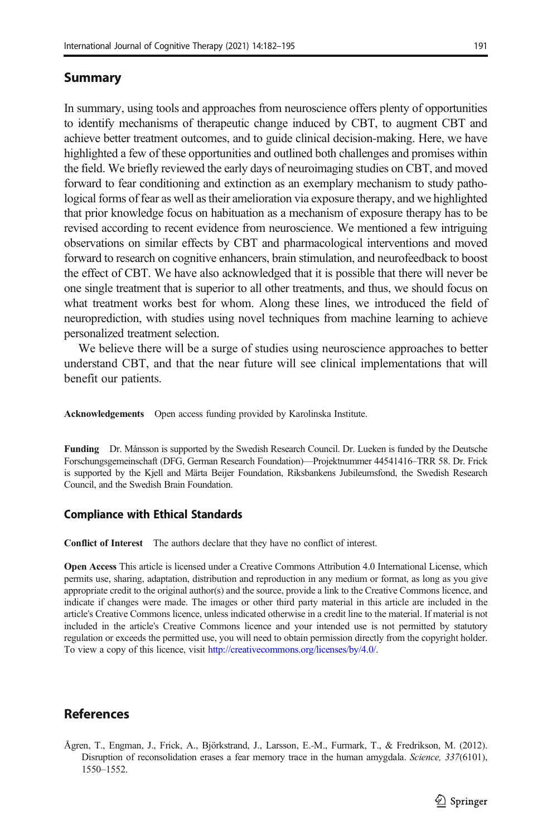#### <span id="page-9-0"></span>Summary

In summary, using tools and approaches from neuroscience offers plenty of opportunities to identify mechanisms of therapeutic change induced by CBT, to augment CBT and achieve better treatment outcomes, and to guide clinical decision-making. Here, we have highlighted a few of these opportunities and outlined both challenges and promises within the field. We briefly reviewed the early days of neuroimaging studies on CBT, and moved forward to fear conditioning and extinction as an exemplary mechanism to study pathological forms of fear as well as their amelioration via exposure therapy, and we highlighted that prior knowledge focus on habituation as a mechanism of exposure therapy has to be revised according to recent evidence from neuroscience. We mentioned a few intriguing observations on similar effects by CBT and pharmacological interventions and moved forward to research on cognitive enhancers, brain stimulation, and neurofeedback to boost the effect of CBT. We have also acknowledged that it is possible that there will never be one single treatment that is superior to all other treatments, and thus, we should focus on what treatment works best for whom. Along these lines, we introduced the field of neuroprediction, with studies using novel techniques from machine learning to achieve personalized treatment selection.

We believe there will be a surge of studies using neuroscience approaches to better understand CBT, and that the near future will see clinical implementations that will benefit our patients.

Acknowledgements Open access funding provided by Karolinska Institute.

Funding Dr. Månsson is supported by the Swedish Research Council. Dr. Lueken is funded by the Deutsche Forschungsgemeinschaft (DFG, German Research Foundation)—Projektnummer 44541416–TRR 58. Dr. Frick is supported by the Kjell and Märta Beijer Foundation, Riksbankens Jubileumsfond, the Swedish Research Council, and the Swedish Brain Foundation.

#### Compliance with Ethical Standards

Conflict of Interest The authors declare that they have no conflict of interest.

Open Access This article is licensed under a Creative Commons Attribution 4.0 International License, which permits use, sharing, adaptation, distribution and reproduction in any medium or format, as long as you give appropriate credit to the original author(s) and the source, provide a link to the Creative Commons licence, and indicate if changes were made. The images or other third party material in this article are included in the article's Creative Commons licence, unless indicated otherwise in a credit line to the material. If material is not included in the article's Creative Commons licence and your intended use is not permitted by statutory regulation or exceeds the permitted use, you will need to obtain permission directly from the copyright holder. To view a copy of this licence, visit [http://creativecommons.org/licenses/by/4.0/](https://doi.org/).

#### References

Ågren, T., Engman, J., Frick, A., Björkstrand, J., Larsson, E.-M., Furmark, T., & Fredrikson, M. (2012). Disruption of reconsolidation erases a fear memory trace in the human amygdala. Science, 337(6101), 1550–1552.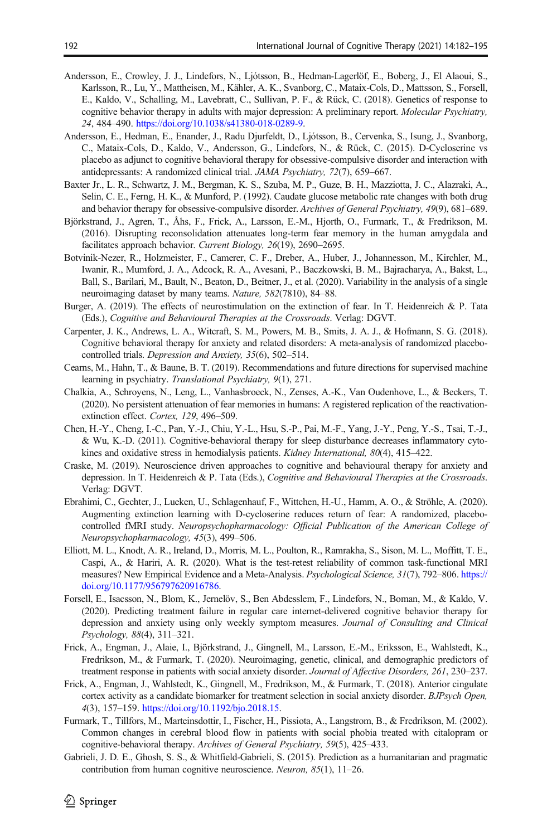- <span id="page-10-0"></span>Andersson, E., Crowley, J. J., Lindefors, N., Ljótsson, B., Hedman-Lagerlöf, E., Boberg, J., El Alaoui, S., Karlsson, R., Lu, Y., Mattheisen, M., Kähler, A. K., Svanborg, C., Mataix-Cols, D., Mattsson, S., Forsell, E., Kaldo, V., Schalling, M., Lavebratt, C., Sullivan, P. F., & Rück, C. (2018). Genetics of response to cognitive behavior therapy in adults with major depression: A preliminary report. Molecular Psychiatry, 24, 484–490. <https://doi.org/10.1038/s41380-018-0289-9>.
- Andersson, E., Hedman, E., Enander, J., Radu Djurfeldt, D., Ljótsson, B., Cervenka, S., Isung, J., Svanborg, C., Mataix-Cols, D., Kaldo, V., Andersson, G., Lindefors, N., & Rück, C. (2015). D-Cycloserine vs placebo as adjunct to cognitive behavioral therapy for obsessive-compulsive disorder and interaction with antidepressants: A randomized clinical trial. JAMA Psychiatry, 72(7), 659–667.
- Baxter Jr., L. R., Schwartz, J. M., Bergman, K. S., Szuba, M. P., Guze, B. H., Mazziotta, J. C., Alazraki, A., Selin, C. E., Ferng, H. K., & Munford, P. (1992). Caudate glucose metabolic rate changes with both drug and behavior therapy for obsessive-compulsive disorder. Archives of General Psychiatry, 49(9), 681–689.
- Björkstrand, J., Agren, T., Åhs, F., Frick, A., Larsson, E.-M., Hjorth, O., Furmark, T., & Fredrikson, M. (2016). Disrupting reconsolidation attenuates long-term fear memory in the human amygdala and facilitates approach behavior. Current Biology, 26(19), 2690–2695.
- Botvinik-Nezer, R., Holzmeister, F., Camerer, C. F., Dreber, A., Huber, J., Johannesson, M., Kirchler, M., Iwanir, R., Mumford, J. A., Adcock, R. A., Avesani, P., Baczkowski, B. M., Bajracharya, A., Bakst, L., Ball, S., Barilari, M., Bault, N., Beaton, D., Beitner, J., et al. (2020). Variability in the analysis of a single neuroimaging dataset by many teams. Nature, 582(7810), 84–88.
- Burger, A. (2019). The effects of neurostimulation on the extinction of fear. In T. Heidenreich & P. Tata (Eds.), Cognitive and Behavioural Therapies at the Crossroads. Verlag: DGVT.
- Carpenter, J. K., Andrews, L. A., Witcraft, S. M., Powers, M. B., Smits, J. A. J., & Hofmann, S. G. (2018). Cognitive behavioral therapy for anxiety and related disorders: A meta-analysis of randomized placebocontrolled trials. Depression and Anxiety, 35(6), 502–514.
- Cearns, M., Hahn, T., & Baune, B. T. (2019). Recommendations and future directions for supervised machine learning in psychiatry. Translational Psychiatry, 9(1), 271.
- Chalkia, A., Schroyens, N., Leng, L., Vanhasbroeck, N., Zenses, A.-K., Van Oudenhove, L., & Beckers, T. (2020). No persistent attenuation of fear memories in humans: A registered replication of the reactivationextinction effect. Cortex, 129, 496–509.
- Chen, H.-Y., Cheng, I.-C., Pan, Y.-J., Chiu, Y.-L., Hsu, S.-P., Pai, M.-F., Yang, J.-Y., Peng, Y.-S., Tsai, T.-J., & Wu, K.-D. (2011). Cognitive-behavioral therapy for sleep disturbance decreases inflammatory cytokines and oxidative stress in hemodialysis patients. Kidney International, 80(4), 415–422.
- Craske, M. (2019). Neuroscience driven approaches to cognitive and behavioural therapy for anxiety and depression. In T. Heidenreich & P. Tata (Eds.), Cognitive and Behavioural Therapies at the Crossroads. Verlag: DGVT.
- Ebrahimi, C., Gechter, J., Lueken, U., Schlagenhauf, F., Wittchen, H.-U., Hamm, A. O., & Ströhle, A. (2020). Augmenting extinction learning with D-cycloserine reduces return of fear: A randomized, placebocontrolled fMRI study. Neuropsychopharmacology: Official Publication of the American College of Neuropsychopharmacology, 45(3), 499–506.
- Elliott, M. L., Knodt, A. R., Ireland, D., Morris, M. L., Poulton, R., Ramrakha, S., Sison, M. L., Moffitt, T. E., Caspi, A., & Hariri, A. R. (2020). What is the test-retest reliability of common task-functional MRI measures? New Empirical Evidence and a Meta-Analysis. Psychological Science, 31(7), 792-806. [https://](https://doi.org/10.1177/956797620916786) [doi.org/10.1177/956797620916786](https://doi.org/10.1177/956797620916786).
- Forsell, E., Isacsson, N., Blom, K., Jernelöv, S., Ben Abdesslem, F., Lindefors, N., Boman, M., & Kaldo, V. (2020). Predicting treatment failure in regular care internet-delivered cognitive behavior therapy for depression and anxiety using only weekly symptom measures. Journal of Consulting and Clinical Psychology, 88(4), 311–321.
- Frick, A., Engman, J., Alaie, I., Björkstrand, J., Gingnell, M., Larsson, E.-M., Eriksson, E., Wahlstedt, K., Fredrikson, M., & Furmark, T. (2020). Neuroimaging, genetic, clinical, and demographic predictors of treatment response in patients with social anxiety disorder. Journal of Affective Disorders, 261, 230–237.
- Frick, A., Engman, J., Wahlstedt, K., Gingnell, M., Fredrikson, M., & Furmark, T. (2018). Anterior cingulate cortex activity as a candidate biomarker for treatment selection in social anxiety disorder. BJPsych Open, 4(3), 157–159. <https://doi.org/10.1192/bjo.2018.15>.
- Furmark, T., Tillfors, M., Marteinsdottir, I., Fischer, H., Pissiota, A., Langstrom, B., & Fredrikson, M. (2002). Common changes in cerebral blood flow in patients with social phobia treated with citalopram or cognitive-behavioral therapy. Archives of General Psychiatry, 59(5), 425–433.
- Gabrieli, J. D. E., Ghosh, S. S., & Whitfield-Gabrieli, S. (2015). Prediction as a humanitarian and pragmatic contribution from human cognitive neuroscience. Neuron, 85(1), 11–26.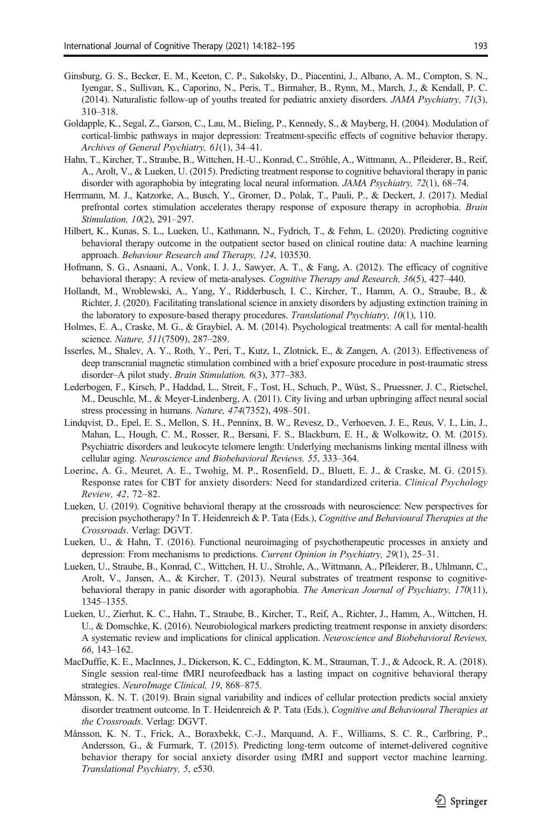- <span id="page-11-0"></span>Ginsburg, G. S., Becker, E. M., Keeton, C. P., Sakolsky, D., Piacentini, J., Albano, A. M., Compton, S. N., Iyengar, S., Sullivan, K., Caporino, N., Peris, T., Birmaher, B., Rynn, M., March, J., & Kendall, P. C. (2014). Naturalistic follow-up of youths treated for pediatric anxiety disorders. JAMA Psychiatry, 71(3), 310–318.
- Goldapple, K., Segal, Z., Garson, C., Lau, M., Bieling, P., Kennedy, S., & Mayberg, H. (2004). Modulation of cortical-limbic pathways in major depression: Treatment-specific effects of cognitive behavior therapy. Archives of General Psychiatry, 61(1), 34–41.
- Hahn, T., Kircher, T., Straube, B., Wittchen, H.-U., Konrad, C., Ströhle, A., Wittmann, A., Pfleiderer, B., Reif, A., Arolt, V., & Lueken, U. (2015). Predicting treatment response to cognitive behavioral therapy in panic disorder with agoraphobia by integrating local neural information. JAMA Psychiatry, 72(1), 68–74.
- Herrmann, M. J., Katzorke, A., Busch, Y., Gromer, D., Polak, T., Pauli, P., & Deckert, J. (2017). Medial prefrontal cortex stimulation accelerates therapy response of exposure therapy in acrophobia. Brain Stimulation, 10(2), 291–297.
- Hilbert, K., Kunas, S. L., Lueken, U., Kathmann, N., Fydrich, T., & Fehm, L. (2020). Predicting cognitive behavioral therapy outcome in the outpatient sector based on clinical routine data: A machine learning approach. Behaviour Research and Therapy, 124, 103530.
- Hofmann, S. G., Asnaani, A., Vonk, I. J. J., Sawyer, A. T., & Fang, A. (2012). The efficacy of cognitive behavioral therapy: A review of meta-analyses. Cognitive Therapy and Research, 36(5), 427-440.
- Hollandt, M., Wroblewski, A., Yang, Y., Ridderbusch, I. C., Kircher, T., Hamm, A. O., Straube, B., & Richter, J. (2020). Facilitating translational science in anxiety disorders by adjusting extinction training in the laboratory to exposure-based therapy procedures. Translational Psychiatry, 10(1), 110.
- Holmes, E. A., Craske, M. G., & Graybiel, A. M. (2014). Psychological treatments: A call for mental-health science. Nature, 511(7509), 287–289.
- Isserles, M., Shalev, A. Y., Roth, Y., Peri, T., Kutz, I., Zlotnick, E., & Zangen, A. (2013). Effectiveness of deep transcranial magnetic stimulation combined with a brief exposure procedure in post-traumatic stress disorder–A pilot study. Brain Stimulation, 6(3), 377–383.
- Lederbogen, F., Kirsch, P., Haddad, L., Streit, F., Tost, H., Schuch, P., Wüst, S., Pruessner, J. C., Rietschel, M., Deuschle, M., & Meyer-Lindenberg, A. (2011). City living and urban upbringing affect neural social stress processing in humans. Nature, 474(7352), 498–501.
- Lindqvist, D., Epel, E. S., Mellon, S. H., Penninx, B. W., Revesz, D., Verhoeven, J. E., Reus, V. I., Lin, J., Mahan, L., Hough, C. M., Rosser, R., Bersani, F. S., Blackburn, E. H., & Wolkowitz, O. M. (2015). Psychiatric disorders and leukocyte telomere length: Underlying mechanisms linking mental illness with cellular aging. Neuroscience and Biobehavioral Reviews, 55, 333–364.
- Loerinc, A. G., Meuret, A. E., Twohig, M. P., Rosenfield, D., Bluett, E. J., & Craske, M. G. (2015). Response rates for CBT for anxiety disorders: Need for standardized criteria. Clinical Psychology Review, 42, 72–82.
- Lueken, U. (2019). Cognitive behavioral therapy at the crossroads with neuroscience: New perspectives for precision psychotherapy? In T. Heidenreich & P. Tata (Eds.), Cognitive and Behavioural Therapies at the Crossroads. Verlag: DGVT.
- Lueken, U., & Hahn, T. (2016). Functional neuroimaging of psychotherapeutic processes in anxiety and depression: From mechanisms to predictions. Current Opinion in Psychiatry, 29(1), 25–31.
- Lueken, U., Straube, B., Konrad, C., Wittchen, H. U., Strohle, A., Wittmann, A., Pfleiderer, B., Uhlmann, C., Arolt, V., Jansen, A., & Kircher, T. (2013). Neural substrates of treatment response to cognitivebehavioral therapy in panic disorder with agoraphobia. The American Journal of Psychiatry, 170(11), 1345–1355.
- Lueken, U., Zierhut, K. C., Hahn, T., Straube, B., Kircher, T., Reif, A., Richter, J., Hamm, A., Wittchen, H. U., & Domschke, K. (2016). Neurobiological markers predicting treatment response in anxiety disorders: A systematic review and implications for clinical application. Neuroscience and Biobehavioral Reviews, 66, 143–162.
- MacDuffie, K. E., MacInnes, J., Dickerson, K. C., Eddington, K. M., Strauman, T. J., & Adcock, R. A. (2018). Single session real-time fMRI neurofeedback has a lasting impact on cognitive behavioral therapy strategies. NeuroImage Clinical, 19, 868–875.
- Månsson, K. N. T. (2019). Brain signal variability and indices of cellular protection predicts social anxiety disorder treatment outcome. In T. Heidenreich & P. Tata (Eds.), Cognitive and Behavioural Therapies at the Crossroads. Verlag: DGVT.
- Månsson, K. N. T., Frick, A., Boraxbekk, C.-J., Marquand, A. F., Williams, S. C. R., Carlbring, P., Andersson, G., & Furmark, T. (2015). Predicting long-term outcome of internet-delivered cognitive behavior therapy for social anxiety disorder using fMRI and support vector machine learning. Translational Psychiatry, 5, e530.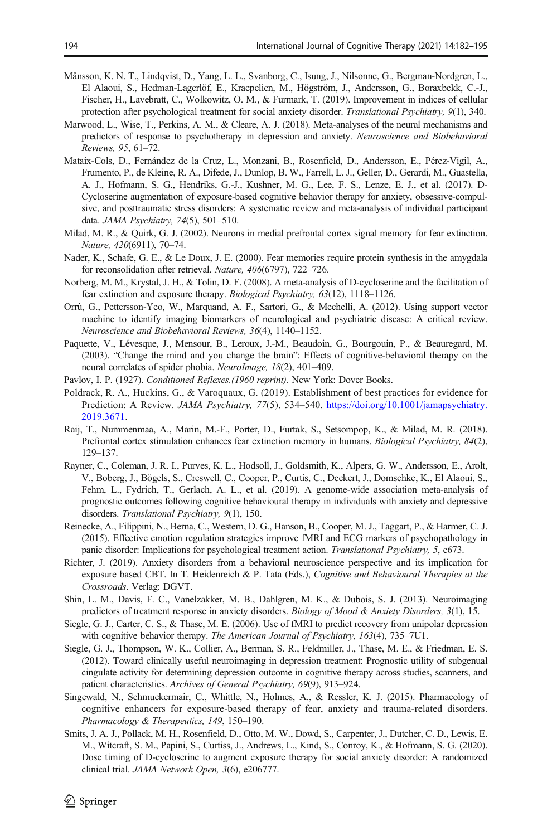- <span id="page-12-0"></span>Månsson, K. N. T., Lindqvist, D., Yang, L. L., Svanborg, C., Isung, J., Nilsonne, G., Bergman-Nordgren, L., El Alaoui, S., Hedman-Lagerlöf, E., Kraepelien, M., Högström, J., Andersson, G., Boraxbekk, C.-J., Fischer, H., Lavebratt, C., Wolkowitz, O. M., & Furmark, T. (2019). Improvement in indices of cellular protection after psychological treatment for social anxiety disorder. Translational Psychiatry, 9(1), 340.
- Marwood, L., Wise, T., Perkins, A. M., & Cleare, A. J. (2018). Meta-analyses of the neural mechanisms and predictors of response to psychotherapy in depression and anxiety. Neuroscience and Biobehavioral Reviews, 95, 61–72.
- Mataix-Cols, D., Fernández de la Cruz, L., Monzani, B., Rosenfield, D., Andersson, E., Pérez-Vigil, A., Frumento, P., de Kleine, R. A., Difede, J., Dunlop, B. W., Farrell, L. J., Geller, D., Gerardi, M., Guastella, A. J., Hofmann, S. G., Hendriks, G.-J., Kushner, M. G., Lee, F. S., Lenze, E. J., et al. (2017). D-Cycloserine augmentation of exposure-based cognitive behavior therapy for anxiety, obsessive-compulsive, and posttraumatic stress disorders: A systematic review and meta-analysis of individual participant data. JAMA Psychiatry, 74(5), 501–510.
- Milad, M. R., & Quirk, G. J. (2002). Neurons in medial prefrontal cortex signal memory for fear extinction. Nature, 420(6911), 70–74.
- Nader, K., Schafe, G. E., & Le Doux, J. E. (2000). Fear memories require protein synthesis in the amygdala for reconsolidation after retrieval. Nature, 406(6797), 722–726.
- Norberg, M. M., Krystal, J. H., & Tolin, D. F. (2008). A meta-analysis of D-cycloserine and the facilitation of fear extinction and exposure therapy. Biological Psychiatry, 63(12), 1118–1126.
- Orrù, G., Pettersson-Yeo, W., Marquand, A. F., Sartori, G., & Mechelli, A. (2012). Using support vector machine to identify imaging biomarkers of neurological and psychiatric disease: A critical review. Neuroscience and Biobehavioral Reviews, 36(4), 1140–1152.
- Paquette, V., Lévesque, J., Mensour, B., Leroux, J.-M., Beaudoin, G., Bourgouin, P., & Beauregard, M. (2003). "Change the mind and you change the brain": Effects of cognitive-behavioral therapy on the neural correlates of spider phobia. NeuroImage, 18(2), 401–409.
- Pavlov, I. P. (1927). Conditioned Reflexes.(1960 reprint). New York: Dover Books.
- Poldrack, R. A., Huckins, G., & Varoquaux, G. (2019). Establishment of best practices for evidence for Prediction: A Review. JAMA Psychiatry, 77(5), 534–540. [https://doi.org/10.1001/jamapsychiatry.](https://doi.org/10.1001/jamapsychiatry.2019.3671) [2019.3671.](https://doi.org/10.1001/jamapsychiatry.2019.3671)
- Raij, T., Nummenmaa, A., Marin, M.-F., Porter, D., Furtak, S., Setsompop, K., & Milad, M. R. (2018). Prefrontal cortex stimulation enhances fear extinction memory in humans. Biological Psychiatry, 84(2), 129–137.
- Rayner, C., Coleman, J. R. I., Purves, K. L., Hodsoll, J., Goldsmith, K., Alpers, G. W., Andersson, E., Arolt, V., Boberg, J., Bögels, S., Creswell, C., Cooper, P., Curtis, C., Deckert, J., Domschke, K., El Alaoui, S., Fehm, L., Fydrich, T., Gerlach, A. L., et al. (2019). A genome-wide association meta-analysis of prognostic outcomes following cognitive behavioural therapy in individuals with anxiety and depressive disorders. Translational Psychiatry, 9(1), 150.
- Reinecke, A., Filippini, N., Berna, C., Western, D. G., Hanson, B., Cooper, M. J., Taggart, P., & Harmer, C. J. (2015). Effective emotion regulation strategies improve fMRI and ECG markers of psychopathology in panic disorder: Implications for psychological treatment action. Translational Psychiatry, 5, e673.
- Richter, J. (2019). Anxiety disorders from a behavioral neuroscience perspective and its implication for exposure based CBT. In T. Heidenreich & P. Tata (Eds.), Cognitive and Behavioural Therapies at the Crossroads. Verlag: DGVT.
- Shin, L. M., Davis, F. C., Vanelzakker, M. B., Dahlgren, M. K., & Dubois, S. J. (2013). Neuroimaging predictors of treatment response in anxiety disorders. Biology of Mood & Anxiety Disorders, 3(1), 15.
- Siegle, G. J., Carter, C. S., & Thase, M. E. (2006). Use of fMRI to predict recovery from unipolar depression with cognitive behavior therapy. The American Journal of Psychiatry, 163(4), 735–7U1.
- Siegle, G. J., Thompson, W. K., Collier, A., Berman, S. R., Feldmiller, J., Thase, M. E., & Friedman, E. S. (2012). Toward clinically useful neuroimaging in depression treatment: Prognostic utility of subgenual cingulate activity for determining depression outcome in cognitive therapy across studies, scanners, and patient characteristics. Archives of General Psychiatry, 69(9), 913–924.
- Singewald, N., Schmuckermair, C., Whittle, N., Holmes, A., & Ressler, K. J. (2015). Pharmacology of cognitive enhancers for exposure-based therapy of fear, anxiety and trauma-related disorders. Pharmacology & Therapeutics, 149, 150–190.
- Smits, J. A. J., Pollack, M. H., Rosenfield, D., Otto, M. W., Dowd, S., Carpenter, J., Dutcher, C. D., Lewis, E. M., Witcraft, S. M., Papini, S., Curtiss, J., Andrews, L., Kind, S., Conroy, K., & Hofmann, S. G. (2020). Dose timing of D-cycloserine to augment exposure therapy for social anxiety disorder: A randomized clinical trial. JAMA Network Open, 3(6), e206777.